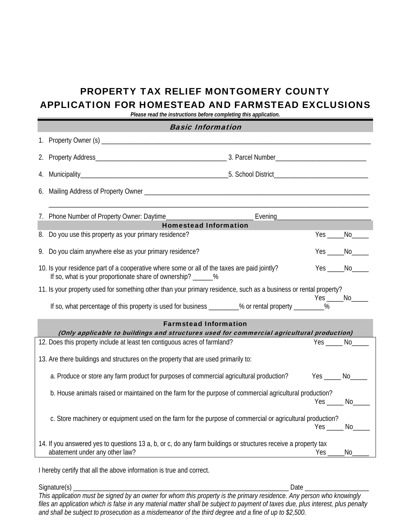# PROPERTY TAX RELIEF MONTGOMERY COUNTY APPLICATION FOR HOMESTEAD AND FARMSTEAD EXCLUSIONS

*Please read the instructions before completing this application.* 

| <b>Basic Information</b>                                                                                                                                                                                                  |                      |
|---------------------------------------------------------------------------------------------------------------------------------------------------------------------------------------------------------------------------|----------------------|
|                                                                                                                                                                                                                           |                      |
|                                                                                                                                                                                                                           |                      |
|                                                                                                                                                                                                                           |                      |
|                                                                                                                                                                                                                           |                      |
| 7. Phone Number of Property Owner: Daytime                                                                                                                                                                                |                      |
| <b>Homestead Information</b>                                                                                                                                                                                              |                      |
| 8. Do you use this property as your primary residence?                                                                                                                                                                    |                      |
| Do you claim anywhere else as your primary residence?<br>9.                                                                                                                                                               | Yes _______ No______ |
| 10. Is your residence part of a cooperative where some or all of the taxes are paid jointly?<br>If so, what is your proportionate share of ownership? ______%                                                             |                      |
| 11. Is your property used for something other than your primary residence, such as a business or rental property?<br>If so, what percentage of this property is used for business ________% or rental property _________% |                      |
| <b>Farmstead Information</b><br>(Only applicable to buildings and structures used for commercial agricultural production)                                                                                                 |                      |
| 12. Does this property include at least ten contiguous acres of farmland?                                                                                                                                                 | $Yes$ $No$           |
| 13. Are there buildings and structures on the property that are used primarily to:                                                                                                                                        |                      |
| a. Produce or store any farm product for purposes of commercial agricultural production?<br>$Yes$ No $\_\_$                                                                                                               |                      |
| b. House animals raised or maintained on the farm for the purpose of commercial agricultural production?<br>Yes No                                                                                                        |                      |
| c. Store machinery or equipment used on the farm for the purpose of commercial or agricultural production?<br>$Yes$ No                                                                                                    |                      |
| 14. If you answered yes to questions 13 a, b, or c, do any farm buildings or structures receive a property tax<br>abatement under any other law?<br>Yes                                                                   |                      |

I hereby certify that all the above information is true and correct.

Signature(s) \_\_\_\_\_\_\_\_\_\_\_\_\_\_\_\_\_\_\_\_\_\_\_\_\_\_\_\_\_\_\_\_\_\_\_\_\_\_\_\_\_\_\_\_\_\_\_\_\_\_\_\_\_\_\_\_\_\_\_\_\_\_\_\_ Date \_\_\_\_\_\_\_\_\_\_\_\_\_\_\_\_\_\_\_ *This application must be signed by an owner for whom this property is the primary residence. Any person who knowingly files an application which is false in any material matter shall be subject to payment of taxes due, plus interest, plus penalty and shall be subject to prosecution as a misdemeanor of the third degree and a fine of up to \$2,500.*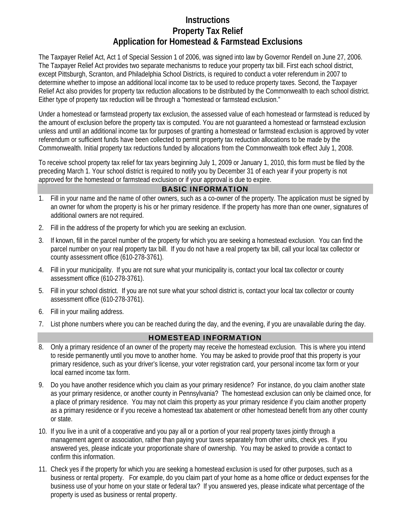## **Instructions Property Tax Relief Application for Homestead & Farmstead Exclusions**

The Taxpayer Relief Act, Act 1 of Special Session 1 of 2006, was signed into law by Governor Rendell on June 27, 2006. The Taxpayer Relief Act provides two separate mechanisms to reduce your property tax bill. First each school district, except Pittsburgh, Scranton, and Philadelphia School Districts, is required to conduct a voter referendum in 2007 to determine whether to impose an additional local income tax to be used to reduce property taxes. Second, the Taxpayer Relief Act also provides for property tax reduction allocations to be distributed by the Commonwealth to each school district. Either type of property tax reduction will be through a "homestead or farmstead exclusion."

Under a homestead or farmstead property tax exclusion, the assessed value of each homestead or farmstead is reduced by the amount of exclusion before the property tax is computed. You are not guaranteed a homestead or farmstead exclusion unless and until an additional income tax for purposes of granting a homestead or farmstead exclusion is approved by voter referendum or sufficient funds have been collected to permit property tax reduction allocations to be made by the Commonwealth. Initial property tax reductions funded by allocations from the Commonwealth took effect July 1, 2008.

To receive school property tax relief for tax years beginning July 1, 2009 or January 1, 2010, this form must be filed by the preceding March 1. Your school district is required to notify you by December 31 of each year if your property is not approved for the homestead or farmstead exclusion or if your approval is due to expire.

### BASIC INFORMATION

- 1. Fill in your name and the name of other owners, such as a co-owner of the property. The application must be signed by an owner for whom the property is his or her primary residence. If the property has more than one owner, signatures of additional owners are not required.
- 2. Fill in the address of the property for which you are seeking an exclusion.
- 3. If known, fill in the parcel number of the property for which you are seeking a homestead exclusion. You can find the parcel number on your real property tax bill. If you do not have a real property tax bill, call your local tax collector or county assessment office (610-278-3761).
- 4. Fill in your municipality. If you are not sure what your municipality is, contact your local tax collector or county assessment office (610-278-3761).
- 5. Fill in your school district. If you are not sure what your school district is, contact your local tax collector or county assessment office (610-278-3761).
- 6. Fill in your mailing address.
- 7. List phone numbers where you can be reached during the day, and the evening, if you are unavailable during the day.

#### HOMESTEAD INFORMATION

- 8. Only a primary residence of an owner of the property may receive the homestead exclusion. This is where you intend to reside permanently until you move to another home. You may be asked to provide proof that this property is your primary residence, such as your driver's license, your voter registration card, your personal income tax form or your local earned income tax form.
- 9. Do you have another residence which you claim as your primary residence? For instance, do you claim another state as your primary residence, or another county in Pennsylvania? The homestead exclusion can only be claimed once, for a place of primary residence. You may not claim this property as your primary residence if you claim another property as a primary residence or if you receive a homestead tax abatement or other homestead benefit from any other county or state.
- 10. If you live in a unit of a cooperative and you pay all or a portion of your real property taxes jointly through a management agent or association, rather than paying your taxes separately from other units, check yes. If you answered yes, please indicate your proportionate share of ownership. You may be asked to provide a contact to confirm this information.
- 11. Check yes if the property for which you are seeking a homestead exclusion is used for other purposes, such as a business or rental property. For example, do you claim part of your home as a home office or deduct expenses for the business use of your home on your state or federal tax? If you answered yes, please indicate what percentage of the property is used as business or rental property.